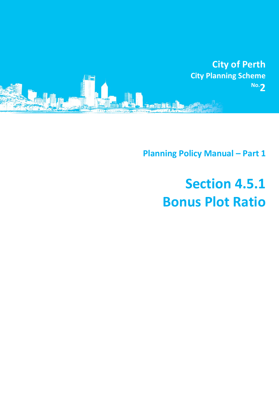

**Planning Policy Manual - Part 1** 

# **Section 4.5.1 Bonus Plot Ratio**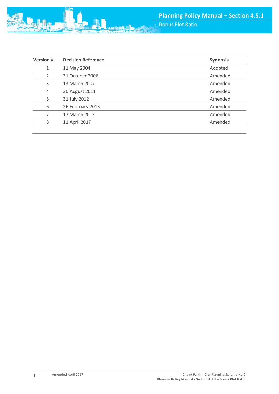

| <b>Version#</b> | <b>Decision Reference</b> | <b>Synopsis</b> |
|-----------------|---------------------------|-----------------|
| 1               | 11 May 2004               | Adopted         |
| $\overline{2}$  | 31 October 2006           | Amended         |
| 3               | 13 March 2007             | Amended         |
| $\overline{4}$  | 30 August 2011            | Amended         |
| 5               | 31 July 2012              | Amended         |
| 6               | 26 February 2013          | Amended         |
| 7               | 17 March 2015             | Amended         |
| 8               | 11 April 2017             | Amended         |
|                 |                           |                 |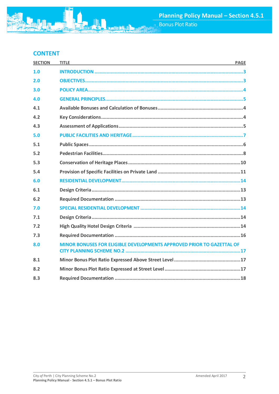## **CONTENT**

| <b>SECTION</b> | <b>TITLE</b><br>and the control of the control of the control of the control of the control of the control of the control of the | <b>PAGE</b> |
|----------------|----------------------------------------------------------------------------------------------------------------------------------|-------------|
| 1.0            |                                                                                                                                  |             |
| 2.0            |                                                                                                                                  |             |
| 3.0            |                                                                                                                                  |             |
| 4.0            |                                                                                                                                  |             |
| 4.1            |                                                                                                                                  |             |
| 4.2            |                                                                                                                                  |             |
| 4.3            |                                                                                                                                  |             |
| 5.0            |                                                                                                                                  |             |
| 5.1            |                                                                                                                                  |             |
| 5.2            |                                                                                                                                  |             |
| 5.3            |                                                                                                                                  |             |
| 5.4            |                                                                                                                                  |             |
| 6.0            |                                                                                                                                  |             |
| 6.1            |                                                                                                                                  |             |
| 6.2            |                                                                                                                                  |             |
| 7.0            |                                                                                                                                  |             |
| 7.1            |                                                                                                                                  |             |
| 7.2            |                                                                                                                                  |             |
| 7.3            |                                                                                                                                  |             |
| 8.0            | MINOR BONUSES FOR ELIGIBLE DEVELOPMENTS APPROVED PRIOR TO GAZETTAL OF                                                            |             |
| 8.1            |                                                                                                                                  |             |
| 8.2            |                                                                                                                                  |             |
| 8.3            |                                                                                                                                  |             |

**MA**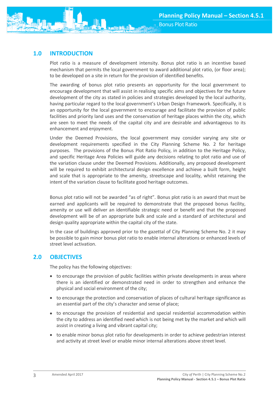

# <span id="page-3-0"></span>**1.0 INTRODUCTION**

Plot ratio is a measure of development intensity. Bonus plot ratio is an incentive based mechanism that permits the local government to award additional plot ratio, (or floor area); to be developed on a site in return for the provision of identified benefits.

The awarding of bonus plot ratio presents an opportunity for the local government to encourage development that will assist in realising specific aims and objectives for the future development of the city as stated in policies and strategies developed by the local authority, having particular regard to the local government's Urban Design Framework. Specifically, it is an opportunity for the local government to encourage and facilitate the provision of public facilities and priority land uses and the conservation of heritage places within the city, which are seen to meet the needs of the capital city and are desirable and advantageous to its enhancement and enjoyment.

Under the Deemed Provisions, the local government may consider varying any site or development requirements specified in the City Planning Scheme No. 2 for heritage purposes. The provisions of the Bonus Plot Ratio Policy, in addition to the Heritage Policy, and specific Heritage Area Policies will guide any decisions relating to plot ratio and use of the variation clause under the Deemed Provisions. Additionally, any proposed development will be required to exhibit architectural design excellence and achieve a built form, height and scale that is appropriate to the amenity, streetscape and locality, whilst retaining the intent of the variation clause to facilitate good heritage outcomes.

Bonus plot ratio will not be awarded "as of right". Bonus plot ratio is an award that must be earned and applicants will be required to demonstrate that the proposed bonus facility, amenity or use will deliver an identifiable strategic need or benefit and that the proposed development will be of an appropriate bulk and scale and a standard of architectural and design quality appropriate within the capital city of the state.

In the case of buildings approved prior to the gazettal of City Planning Scheme No. 2 it may be possible to gain minor bonus plot ratio to enable internal alterations or enhanced levels of street level activation.

## <span id="page-3-1"></span>**2.0 OBJECTIVES**

The policy has the following objectives:

- to encourage the provision of public facilities within private developments in areas where there is an identified or demonstrated need in order to strengthen and enhance the physical and social environment of the city;
- to encourage the protection and conservation of places of cultural heritage significance as an essential part of the city's character and sense of place;
- to encourage the provision of residential and special residential accommodation within the city to address an identified need which is not being met by the market and which will assist in creating a living and vibrant capital city;
- <span id="page-3-2"></span>• to enable minor bonus plot ratio for developments in order to achieve pedestrian interest and activity at street level or enable minor internal alterations above street level.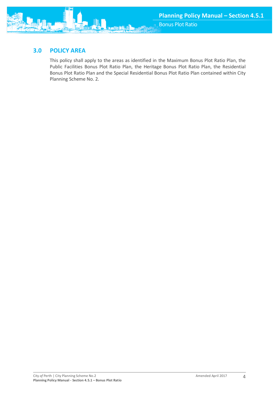

This policy shall apply to the areas as identified in the Maximum Bonus Plot Ratio Plan, the Public Facilities Bonus Plot Ratio Plan, the Heritage Bonus Plot Ratio Plan, the Residential Bonus Plot Ratio Plan and the Special Residential Bonus Plot Ratio Plan contained within City Planning Scheme No. 2.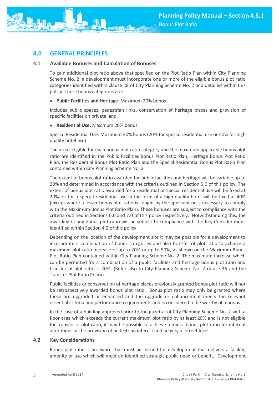<span id="page-5-0"></span>

#### **4.1 Available Bonuses and Calculation of Bonuses**

To gain additional plot ratio above that specified on the Plot Ratio Plan within City Planning Scheme No. 2, a development must incorporate one or more of the eligible bonus plot ratio categories identified within clause 28 of City Planning Scheme No. 2 and detailed within this policy. These bonus categories are:

**Public Facilities and Heritage**: Maximum 20% bonus

Includes public spaces, pedestrian links, conservation of heritage places and provision of specific facilities on private land.

**Residential Use**: Maximum 20% bonus

Special Residential Use: Maximum 40% bonus (20% for special residential use or 40% for high quality hotel use)

The areas eligible for each bonus plot ratio category and the maximum applicable bonus plot ratio are identified in the Public Facilities Bonus Plot Ratio Plan, Heritage Bonus Plot Ratio Plan, the Residential Bonus Plot Ratio Plan and the Special Residential Bonus Plot Ratio Plan contained within City Planning Scheme No. 2.

The extent of bonus plot ratio awarded for public facilities and heritage will be variable up to 20% and determined in accordance with the criteria outlined in Section 5.0 of this policy. The extent of bonus plot ratio awarded for a residential or special residential use will be fixed at 20%, or for a special residential use in the form of a high quality hotel will be fixed at 40% (except where a lesser bonus plot ratio is sought by the applicant or is necessary to comply with the Maximum Bonus Plot Ratio Plan). These bonuses are subject to compliance with the criteria outlined in Sections 6.0 and 7.0 of this policy respectively. Notwithstanding this, the awarding of any bonus plot ratio will be subject to compliance with the Key Considerations identified within Section 4.2 of this policy.

Depending on the location of the development site it may be possible for a development to incorporate a combination of bonus categories and also transfer of plot ratio to achieve a maximum plot ratio increase of up to 20% or up to 50%, as shown on the Maximum Bonus Plot Ratio Plan contained within City Planning Scheme No. 2. The maximum increase which can be permitted for a combination of a public facilities and heritage bonus plot ratio and transfer of plot ratio is 20%. (Refer also to City Planning Scheme No. 2 clause 36 and the Transfer Plot Ratio Policy).

Public facilities or conservation of heritage places previously granted bonus plot ratio will not be retrospectively awarded bonus plot ratio. Bonus plot ratio may only be granted where these are upgraded or enhanced and the upgrade or enhancement meets the relevant essential criteria and performance requirements and is considered to be worthy of a bonus.

In the case of a building approved prior to the gazettal of City Planning Scheme No. 2 with a floor area which exceeds the current maximum plot ratio by at least 20% and is not eligible for transfer of plot ratio, it may be possible to achieve a minor bonus plot ratio for internal alterations or the provision of pedestrian interest and activity at street level.

#### **4.2 Key Considerations**

Bonus plot ratio is an award that must be earned for development that delivers a facility, amenity or use which will meet an identified strategic public need or benefit. Development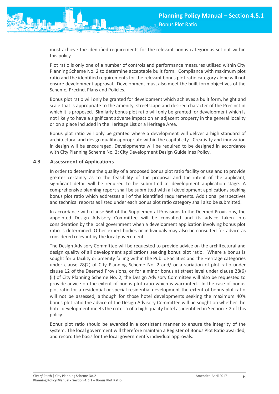must achieve the identified requirements for the relevant bonus category as set out within this policy.

Plot ratio is only one of a number of controls and performance measures utilised within City Planning Scheme No. 2 to determine acceptable built form. Compliance with maximum plot ratio and the identified requirements for the relevant bonus plot ratio category alone will not ensure development approval. Development must also meet the built form objectives of the Scheme, Precinct Plans and Policies.

Bonus plot ratio will only be granted for development which achieves a built form, height and scale that is appropriate to the amenity, streetscape and desired character of the Precinct in which it is proposed. Similarly bonus plot ratio will only be granted for development which is not likely to have a significant adverse impact on an adjacent property in the general locality or on a place included in the Heritage List or a Heritage Area.

Bonus plot ratio will only be granted where a development will deliver a high standard of architectural and design quality appropriate within the capital city. Creativity and innovation in design will be encouraged. Developments will be required to be designed in accordance with City Planning Scheme No. 2: City Development Design Guidelines Policy.

## **4.3 Assessment of Applications**

In order to determine the quality of a proposed bonus plot ratio facility or use and to provide greater certainty as to the feasibility of the proposal and the intent of the applicant, significant detail will be required to be submitted at development application stage. A comprehensive planning report shall be submitted with all development applications seeking bonus plot ratio which addresses all of the identified requirements. Additional perspectives and technical reports as listed under each bonus plot ratio category shall also be submitted.

In accordance with clause 66A of the Supplemental Provisions to the Deemed Provisions, the appointed Design Advisory Committee will be consulted and its advice taken into consideration by the local government when a development application involving bonus plot ratio is determined. Other expert bodies or individuals may also be consulted for advice as considered relevant by the local government.

The Design Advisory Committee will be requested to provide advice on the architectural and design quality of all development applications seeking bonus plot ratio. Where a bonus is sought for a facility or amenity falling within the Public Facilities and the Heritage categories under clause 28(2) of City Planning Scheme No. 2 and/ or a variation of plot ratio under clause 12 of the Deemed Provisions, or for a minor bonus at street level under clause 28(6) (ii) of City Planning Scheme No. 2, the Design Advisory Committee will also be requested to provide advice on the extent of bonus plot ratio which is warranted. In the case of bonus plot ratio for a residential or special residential development the extent of bonus plot ratio will not be assessed, although for those hotel developments seeking the maximum 40% bonus plot ratio the advice of the Design Advisory Committee will be sought on whether the hotel development meets the criteria of a high quality hotel as identified in Section 7.2 of this policy.

Bonus plot ratio should be awarded in a consistent manner to ensure the integrity of the system. The local government will therefore maintain a Register of Bonus Plot Ratio awarded, and record the basis for the local government's individual approvals.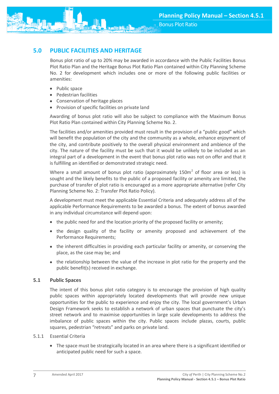<span id="page-7-0"></span>

Bonus plot ratio of up to 20% may be awarded in accordance with the Public Facilities Bonus Plot Ratio Plan and the Heritage Bonus Plot Ratio Plan contained within City Planning Scheme No. 2 for development which includes one or more of the following public facilities or amenities:

- Public space
- Pedestrian facilities
- Conservation of heritage places
- Provision of specific facilities on private land

Awarding of bonus plot ratio will also be subject to compliance with the Maximum Bonus Plot Ratio Plan contained within City Planning Scheme No. 2.

The facilities and/or amenities provided must result in the provision of a "public good" which will benefit the population of the city and the community as a whole, enhance enjoyment of the city, and contribute positively to the overall physical environment and ambience of the city. The nature of the facility must be such that it would be unlikely to be included as an integral part of a development in the event that bonus plot ratio was not on offer and that it is fulfilling an identified or demonstrated strategic need.

Where a small amount of bonus plot ratio (approximately 150 $m<sup>2</sup>$  of floor area or less) is sought and the likely benefits to the public of a proposed facility or amenity are limited, the purchase of transfer of plot ratio is encouraged as a more appropriate alternative (refer City Planning Scheme No. 2: Transfer Plot Ratio Policy).

A development must meet the applicable Essential Criteria and adequately address all of the applicable Performance Requirements to be awarded a bonus. The extent of bonus awarded in any individual circumstance will depend upon:

- $\bullet$  the public need for and the location priority of the proposed facility or amenity;
- the design quality of the facility or amenity proposed and achievement of the Performance Requirements;
- the inherent difficulties in providing each particular facility or amenity, or conserving the place, as the case may be; and
- the relationship between the value of the increase in plot ratio for the property and the public benefit(s) received in exchange.

## **5.1 Public Spaces**

The intent of this bonus plot ratio category is to encourage the provision of high quality public spaces within appropriately located developments that will provide new unique opportunities for the public to experience and enjoy the city. The local government's Urban Design Framework seeks to establish a network of urban spaces that punctuate the city's street network and to maximise opportunities in large scale developments to address the imbalance of public spaces within the city. Public spaces include plazas, courts, public squares, pedestrian "retreats" and parks on private land.

#### 5.1.1 Essential Criteria

 The space must be strategically located in an area where there is a significant identified or anticipated public need for such a space.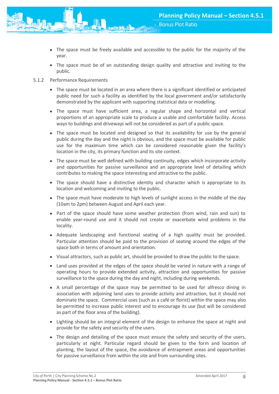- The space must be freely available and accessible to the public for the majority of the year.
- The space must be of an outstanding design quality and attractive and inviting to the public.
- 5.1.2 Performance Requirements
	- The space must be located in an area where there is a significant identified or anticipated public need for such a facility as identified by the local government and/or satisfactorily demonstrated by the applicant with supporting statistical data or modelling.
	- The space must have sufficient area, a regular shape and horizontal and vertical proportions of an appropriate scale to produce a usable and comfortable facility. Access ways to buildings and driveways will not be considered as part of a public space.
	- The space must be located and designed so that its availability for use by the general public during the day and the night is obvious, and the space must be available for public use for the maximum time which can be considered reasonable given the facility's location in the city, its primary function and its site context.
	- The space must be well defined with building continuity, edges which incorporate activity and opportunities for passive surveillance and an appropriate level of detailing which contributes to making the space interesting and attractive to the public.
	- The space should have a distinctive identity and character which is appropriate to its location and welcoming and inviting to the public.
	- The space must have moderate to high levels of sunlight access in the middle of the day (10am to 2pm) between August and April each year.
	- Part of the space should have some weather protection (from wind, rain and sun) to enable year-round use and it should not create or exacerbate wind problems in the locality.
	- Adequate landscaping and functional seating of a high quality must be provided. Particular attention should be paid to the provision of seating around the edges of the space both in terms of amount and orientation.
	- Visual attractors, such as public art, should be provided to draw the public to the space.
	- Land uses provided at the edges of the space should be varied in nature with a range of operating hours to provide extended activity, attraction and opportunities for passive surveillance to the space during the day and night, including during weekends.
	- A small percentage of the space may be permitted to be used for alfresco dining in association with adjoining land uses to provide activity and attraction, but it should not dominate the space. Commercial uses (such as a café or florist) within the space may also be permitted to increase public interest and to encourage its use (but will be considered as part of the floor area of the building).
	- Lighting should be an integral element of the design to enhance the space at night and provide for the safety and security of the users.
	- The design and detailing of the space must ensure the safety and security of the users, particularly at night. Particular regard should be given to the form and location of planting, the layout of the space, the avoidance of entrapment areas and opportunities for passive surveillance from within the site and from surrounding sites.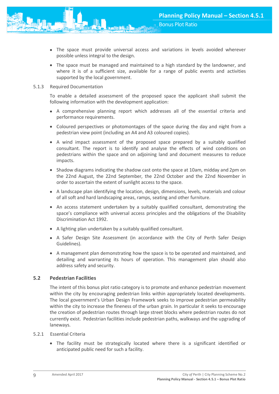- The space must provide universal access and variations in levels avoided wherever possible unless integral to the design.
- The space must be managed and maintained to a high standard by the landowner, and where it is of a sufficient size, available for a range of public events and activities supported by the local government.

#### 5.1.3 Required Documentation

To enable a detailed assessment of the proposed space the applicant shall submit the following information with the development application:

- A comprehensive planning report which addresses all of the essential criteria and performance requirements.
- Coloured perspectives or photomontages of the space during the day and night from a pedestrian view point (including an A4 and A3 coloured copies).
- A wind impact assessment of the proposed space prepared by a suitably qualified consultant. The report is to identify and analyse the effects of wind conditions on pedestrians within the space and on adjoining land and document measures to reduce impacts.
- Shadow diagrams indicating the shadow cast onto the space at 10am, midday and 2pm on the 22nd August, the 22nd September, the 22nd October and the 22nd November in order to ascertain the extent of sunlight access to the space.
- A landscape plan identifying the location, design, dimensions, levels, materials and colour of all soft and hard landscaping areas, ramps, seating and other furniture.
- An access statement undertaken by a suitably qualified consultant, demonstrating the space's compliance with universal access principles and the obligations of the Disability Discrimination Act 1992.
- A lighting plan undertaken by a suitably qualified consultant.
- A Safer Design Site Assessment (in accordance with the City of Perth Safer Design Guidelines).
- A management plan demonstrating how the space is to be operated and maintained, and detailing and warranting its hours of operation. This management plan should also address safety and security.

#### **5.2 Pedestrian Facilities**

The intent of this bonus plot ratio category is to promote and enhance pedestrian movement within the city by encouraging pedestrian links within appropriately located developments. The local government's Urban Design Framework seeks to improve pedestrian permeability within the city to increase the fineness of the urban grain. In particular it seeks to encourage the creation of pedestrian routes through large street blocks where pedestrian routes do not currently exist. Pedestrian facilities include pedestrian paths, walkways and the upgrading of laneways.

#### 5.2.1 Essential Criteria

 The facility must be strategically located where there is a significant identified or anticipated public need for such a facility.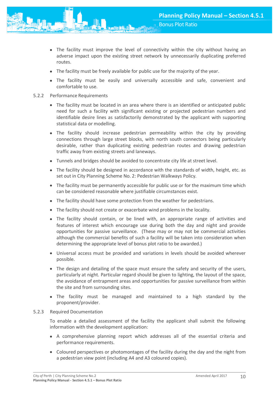- The facility must improve the level of connectivity within the city without having an adverse impact upon the existing street network by unnecessarily duplicating preferred routes.
- The facility must be freely available for public use for the majority of the year.
- The facility must be easily and universally accessible and safe, convenient and comfortable to use.

#### 5.2.2 Performance Requirements

- The facility must be located in an area where there is an identified or anticipated public need for such a facility with significant existing or projected pedestrian numbers and identifiable desire lines as satisfactorily demonstrated by the applicant with supporting statistical data or modelling.
- The facility should increase pedestrian permeability within the city by providing connections through large street blocks, with north south connectors being particularly desirable, rather than duplicating existing pedestrian routes and drawing pedestrian traffic away from existing streets and laneways.
- Tunnels and bridges should be avoided to concentrate city life at street level.
- The facility should be designed in accordance with the standards of width, height, etc. as set out in City Planning Scheme No. 2: Pedestrian Walkways Policy.
- The facility must be permanently accessible for public use or for the maximum time which can be considered reasonable where justifiable circumstances exist.
- The facility should have some protection from the weather for pedestrians.
- The facility should not create or exacerbate wind problems in the locality.
- The facility should contain, or be lined with, an appropriate range of activities and features of interest which encourage use during both the day and night and provide opportunities for passive surveillance. (These may or may not be commercial activities although the commercial benefits of such a facility will be taken into consideration when determining the appropriate level of bonus plot ratio to be awarded.)
- Universal access must be provided and variations in levels should be avoided wherever possible.
- The design and detailing of the space must ensure the safety and security of the users, particularly at night. Particular regard should be given to lighting, the layout of the space, the avoidance of entrapment areas and opportunities for passive surveillance from within the site and from surrounding sites.
- The facility must be managed and maintained to a high standard by the proponent/provider.

#### 5.2.3 Required Documentation

To enable a detailed assessment of the facility the applicant shall submit the following information with the development application:

- A comprehensive planning report which addresses all of the essential criteria and performance requirements.
- Coloured perspectives or photomontages of the facility during the day and the night from a pedestrian view point (including A4 and A3 coloured copies).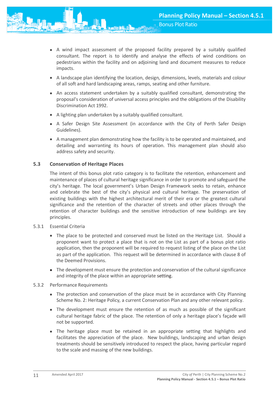- A wind impact assessment of the proposed facility prepared by a suitably qualified consultant. The report is to identify and analyse the effects of wind conditions on pedestrians within the facility and on adjoining land and document measures to reduce impacts.
- A landscape plan identifying the location, design, dimensions, levels, materials and colour of all soft and hard landscaping areas, ramps, seating and other furniture.
- An access statement undertaken by a suitably qualified consultant, demonstrating the proposal's consideration of universal access principles and the obligations of the Disability Discrimination Act 1992.
- A lighting plan undertaken by a suitably qualified consultant.
- A Safer Design Site Assessment (in accordance with the City of Perth Safer Design Guidelines).
- A management plan demonstrating how the facility is to be operated and maintained, and detailing and warranting its hours of operation. This management plan should also address safety and security.

## **5.3 Conservation of Heritage Places**

The intent of this bonus plot ratio category is to facilitate the retention, enhancement and maintenance of places of cultural heritage significance in order to promote and safeguard the city's heritage. The local government's Urban Design Framework seeks to retain, enhance and celebrate the best of the city's physical and cultural heritage. The preservation of existing buildings with the highest architectural merit of their era or the greatest cultural significance and the retention of the character of streets and other places through the retention of character buildings and the sensitive introduction of new buildings are key principles.

## 5.3.1 Essential Criteria

- The place to be protected and conserved must be listed on the Heritage List. Should a proponent want to protect a place that is not on the List as part of a bonus plot ratio application, then the proponent will be required to request listing of the place on the List as part of the application. This request will be determined in accordance with clause 8 of the Deemed Provisions.
- The development must ensure the protection and conservation of the cultural significance and integrity of the place within an appropriate setting.

## 5.3.2 Performance Requirements

- The protection and conservation of the place must be in accordance with City Planning Scheme No. 2: Heritage Policy, a current Conservation Plan and any other relevant policy.
- The development must ensure the retention of as much as possible of the significant cultural heritage fabric of the place. The retention of only a heritage place's façade will not be supported.
- The heritage place must be retained in an appropriate setting that highlights and facilitates the appreciation of the place. New buildings, landscaping and urban design treatments should be sensitively introduced to respect the place, having particular regard to the scale and massing of the new buildings.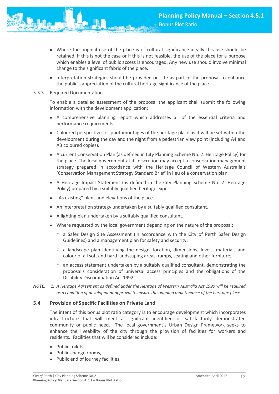- Where the original use of the place is of cultural significance ideally this use should be retained. If this is not the case or if this is not feasible, the use of the place for a purpose which enables a level of public access is encouraged. Any new use should involve minimal change to the significant fabric of the place.
- Interpretation strategies should be provided on site as part of the proposal to enhance the public's appreciation of the cultural heritage significance of the place.
- 5.3.3 Required Documentation

To enable a detailed assessment of the proposal the applicant shall submit the following information with the development application:

- A comprehensive planning report which addresses all of the essential criteria and performance requirements.
- Coloured perspectives or photomontages of the heritage place as it will be set within the development during the day and the night from a pedestrian view point (including A4 and A3 coloured copies).
- A current Conservation Plan (as defined in City Planning Scheme No. 2: Heritage Policy) for the place. The local government at its discretion may accept a conservation management strategy prepared in accordance with the Heritage Council of Western Australia's 'Conservation Management Strategy Standard Brief' in lieu of a conservation plan.
- A Heritage Impact Statement (as defined in the City Planning Scheme No. 2: Heritage Policy) prepared by a suitably qualified heritage expert.
- "As existing" plans and elevations of the place.
- An interpretation strategy undertaken by a suitably qualified consultant.
- A lighting plan undertaken by a suitably qualified consultant.
- Where requested by the local government depending on the nature of the proposal:
	- $\circ$  a Safer Design Site Assessment (in accordance with the City of Perth Safer Design Guidelines) and a management plan for safety and security;
	- o a landscape plan identifying the design, location, dimensions, levels, materials and colour of all soft and hard landscaping areas, ramps, seating and other furniture;
	- $\circ$  an access statement undertaken by a suitably qualified consultant, demonstrating the proposal's consideration of universal access principles and the obligations of the Disability Discrimination Act 1992.
- *NOTE: 1. A Heritage Agreement as defined under the Heritage of Western Australia Act 1990 will be required as a condition of development approval to ensure the ongoing maintenance of the heritage place.*

## **5.4 Provision of Specific Facilities on Private Land**

The intent of this bonus plot ratio category is to encourage development which incorporates infrastructure that will meet a significant identified or satisfactorily demonstrated community or public need. The local government's Urban Design Framework seeks to enhance the liveability of the city through the provision of facilities for workers and residents. Facilities that will be considered include:

- Public toilets,
- Public change rooms,
- Public end of journey facilities,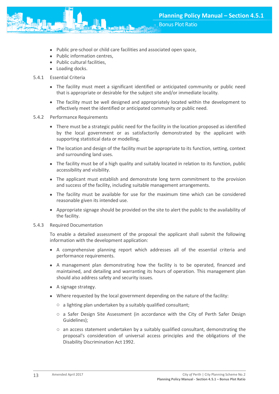- Public pre-school or child care facilities and associated open space,
- Public information centres,
- Public cultural facilities,
- Loading docks.
- 5.4.1 Essential Criteria
	- The facility must meet a significant identified or anticipated community or public need that is appropriate or desirable for the subject site and/or immediate locality.
	- The facility must be well designed and appropriately located within the development to effectively meet the identified or anticipated community or public need.
- 5.4.2 Performance Requirements
	- There must be a strategic public need for the facility in the location proposed as identified by the local government or as satisfactorily demonstrated by the applicant with supporting statistical data or modelling.
	- The location and design of the facility must be appropriate to its function, setting, context and surrounding land uses.
	- The facility must be of a high quality and suitably located in relation to its function, public accessibility and visibility.
	- The applicant must establish and demonstrate long term commitment to the provision and success of the facility, including suitable management arrangements.
	- The facility must be available for use for the maximum time which can be considered reasonable given its intended use.
	- Appropriate signage should be provided on the site to alert the public to the availability of the facility.

#### 5.4.3 Required Documentation

To enable a detailed assessment of the proposal the applicant shall submit the following information with the development application:

- A comprehensive planning report which addresses all of the essential criteria and performance requirements.
- A management plan demonstrating how the facility is to be operated, financed and maintained, and detailing and warranting its hours of operation. This management plan should also address safety and security issues.
- A signage strategy.
- Where requested by the local government depending on the nature of the facility:
	- o a lighting plan undertaken by a suitably qualified consultant;
	- o a Safer Design Site Assessment (in accordance with the City of Perth Safer Design Guidelines);
	- $\circ$  an access statement undertaken by a suitably qualified consultant, demonstrating the proposal's consideration of universal access principles and the obligations of the Disability Discrimination Act 1992.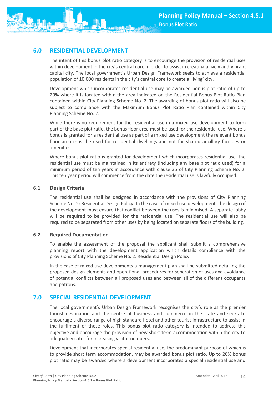<span id="page-14-0"></span>

The intent of this bonus plot ratio category is to encourage the provision of residential uses within development in the city's central core in order to assist in creating a lively and vibrant capital city. The local government's Urban Design Framework seeks to achieve a residential population of 10,000 residents in the city's central core to create a 'living' city.

Development which incorporates residential use may be awarded bonus plot ratio of up to 20% where it is located within the area indicated on the Residential Bonus Plot Ratio Plan contained within City Planning Scheme No. 2. The awarding of bonus plot ratio will also be subject to compliance with the Maximum Bonus Plot Ratio Plan contained within City Planning Scheme No. 2.

While there is no requirement for the residential use in a mixed use development to form part of the base plot ratio, the bonus floor area must be used for the residential use. Where a bonus is granted for a residential use as part of a mixed use development the relevant bonus floor area must be used for residential dwellings and not for shared ancillary facilities or amenities

Where bonus plot ratio is granted for development which incorporates residential use, the residential use must be maintained in its entirety (including any base plot ratio used) for a minimum period of ten years in accordance with clause 35 of City Planning Scheme No. 2. This ten year period will commence from the date the residential use is lawfully occupied.

## **6.1 Design Criteria**

The residential use shall be designed in accordance with the provisions of City Planning Scheme No. 2: Residential Design Policy. In the case of mixed use development, the design of the development must ensure that conflict between the uses is minimised. A separate lobby will be required to be provided for the residential use. The residential use will also be required to be separated from other uses by being located on separate floors of the building.

## **6.2 Required Documentation**

To enable the assessment of the proposal the applicant shall submit a comprehensive planning report with the development application which details compliance with the provisions of City Planning Scheme No. 2: Residential Design Policy.

In the case of mixed use developments a management plan shall be submitted detailing the proposed design elements and operational procedures for separation of uses and avoidance of potential conflicts between all proposed uses and between all of the different occupants and patrons.

## <span id="page-14-1"></span>**7.0 SPECIAL RESIDENTIAL DEVELOPMENT**

The local government's Urban Design Framework recognises the city's role as the premier tourist destination and the centre of business and commerce in the state and seeks to encourage a diverse range of high standard hotel and other tourist infrastructure to assist in the fulfilment of these roles. This bonus plot ratio category is intended to address this objective and encourage the provision of new short term accommodation within the city to adequately cater for increasing visitor numbers.

Development that incorporates special residential use, the predominant purpose of which is to provide short term accommodation, may be awarded bonus plot ratio. Up to 20% bonus plot ratio may be awarded where a development incorporates a special residential use and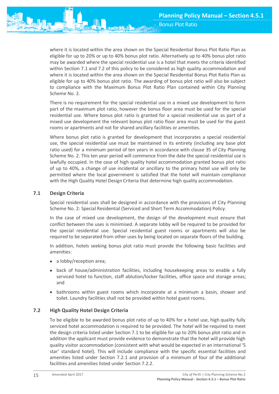where it is located within the area shown on the Special Residential Bonus Plot Ratio Plan as eligible for up to 20% or up to 40% bonus plot ratio. Alternatively up to 40% bonus plot ratio may be awarded where the special residential use is a hotel that meets the criteria identified within Section 7.1 and 7.2 of this policy to be considered as high quality accommodation and where it is located within the area shown on the Special Residential Bonus Plot Ratio Plan as eligible for up to 40% bonus plot ratio. The awarding of bonus plot ratio will also be subject to compliance with the Maximum Bonus Plot Ratio Plan contained within City Planning Scheme No. 2.

There is no requirement for the special residential use in a mixed use development to form part of the maximum plot ratio, however the bonus floor area must be used for the special residential use. Where bonus plot ratio is granted for a special residential use as part of a mixed use development the relevant bonus plot ratio floor area must be used for the guest rooms or apartments and not for shared ancillary facilities or amenities.

Where bonus plot ratio is granted for development that incorporates a special residential use, the special residential use must be maintained in its entirety (including any base plot ratio used) for a minimum period of ten years in accordance with clause 35 of City Planning Scheme No. 2. This ten year period will commence from the date the special residential use is lawfully occupied. In the case of high quality hotel accommodation granted bonus plot ratio of up to 40%, a change of use incidental or ancillary to the primary hotel use will only be permitted where the local government is satisfied that the hotel will maintain compliance with the High Quality Hotel Design Criteria that determine high quality accommodation.

## **7.1 Design Criteria**

Special residential uses shall be designed in accordance with the provisions of City Planning Scheme No. 2: Special Residential (Serviced and Short Term Accommodation) Policy.

In the case of mixed use development, the design of the development must ensure that conflict between the uses is minimised. A separate lobby will be required to be provided for the special residential use. Special residential guest rooms or apartments will also be required to be separated from other uses by being located on separate floors of the building.

In addition, hotels seeking bonus plot ratio must provide the following basic facilities and amenities:

- a lobby/reception area;
- back of house/administration facilities, including housekeeping areas to enable a fully serviced hotel to function, staff ablution/locker facilities, office space and storage areas; and
- bathrooms within guest rooms which incorporate at a minimum a basin, shower and toilet. Laundry facilities shall not be provided within hotel guest rooms.

## **7.2 High Quality Hotel Design Criteria**

To be eligible to be awarded bonus plot ratio of up to 40% for a hotel use, high quality fully serviced hotel accommodation is required to be provided. The hotel will be required to meet the design criteria listed under Section 7.1 to be eligible for up to 20% bonus plot ratio and in addition the applicant must provide evidence to demonstrate that the hotel will provide high quality visitor accommodation (consistent with what would be expected in an international '5 star' standard hotel). This will include compliance with the specific essential facilities and amenities listed under Section 7.2.1 and provision of a minimum of four of the additional facilities and amenities listed under Section 7.2.2.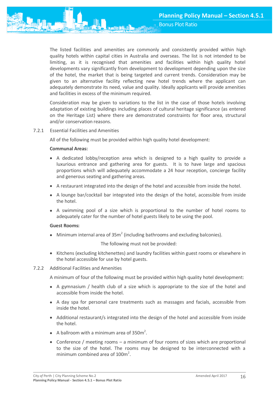The listed facilities and amenities are commonly and consistently provided within high quality hotels within capital cities in Australia and overseas. The list is not intended to be limiting, as it is recognised that amenities and facilities within high quality hotel developments vary significantly from development to development depending upon the size of the hotel, the market that is being targeted and current trends. Consideration may be given to an alternative facility reflecting new hotel trends where the applicant can adequately demonstrate its need, value and quality. Ideally applicants will provide amenities and facilities in excess of the minimum required.

Consideration may be given to variations to the list in the case of those hotels involving adaptation of existing buildings including places of cultural heritage significance (as entered on the Heritage List) where there are demonstrated constraints for floor area, structural and/or conservation reasons.

#### 7.2.1 Essential Facilities and Amenities

All of the following must be provided within high quality hotel development:

#### **Communal Areas:**

- A dedicated lobby/reception area which is designed to a high quality to provide a luxurious entrance and gathering area for guests. It is to have large and spacious proportions which will adequately accommodate a 24 hour reception, concierge facility and generous seating and gathering areas.
- A restaurant integrated into the design of the hotel and accessible from inside the hotel.
- A lounge bar/cocktail bar integrated into the design of the hotel, accessible from inside the hotel.
- A swimming pool of a size which is proportional to the number of hotel rooms to adequately cater for the number of hotel guests likely to be using the pool.

#### **Guest Rooms:**

• Minimum internal area of  $35m^2$  (including bathrooms and excluding balconies).

The following must not be provided:

• Kitchens (excluding kitchenettes) and laundry facilities within guest rooms or elsewhere in the hotel accessible for use by hotel guests.

## 7.2.2 Additional Facilities and Amenities

A minimum of four of the following must be provided within high quality hotel development:

- $\bullet$  A gymnasium / health club of a size which is appropriate to the size of the hotel and accessible from inside the hotel.
- A day spa for [personal care treatments](file:///C:/Documents%20and%20Settings/klees/Local%20Settings/Temp/C$/Documents%20and%20Settings/Klees/Local%20Settings/C$/Documents%20and%20Settings/Documents%20and%20Settings/Klees/wiki/Body_treatment) such as [massages](file:///C:/Documents%20and%20Settings/klees/Local%20Settings/Temp/C$/Documents%20and%20Settings/Klees/Local%20Settings/C$/Documents%20and%20Settings/Documents%20and%20Settings/Klees/wiki/Massage) and [facials,](file:///C:/Documents%20and%20Settings/klees/Local%20Settings/Temp/C$/Documents%20and%20Settings/Klees/Local%20Settings/C$/Documents%20and%20Settings/Documents%20and%20Settings/Klees/wiki/Facial) accessible from inside the hotel.
- Additional restaurant/s integrated into the design of the hotel and accessible from inside the hotel.
- A ballroom with a minimum area of  $350m^2$ .
- Conference / meeting rooms a minimum of four rooms of sizes which are proportional to the size of the hotel. The rooms may be designed to be interconnected with a minimum combined area of  $100m^2$ .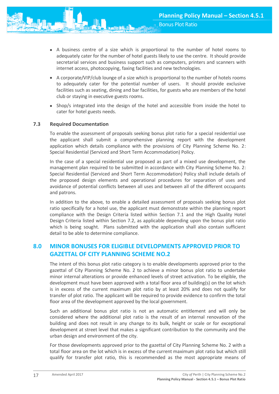- A business centre of a size which is proportional to the number of hotel rooms to adequately cater for the number of hotel guests likely to use the centre. It should provide secretarial services and business support such as computers, printers and scanners with internet access, photocopying, faxing facilities and new technologies.
- A corporate/VIP/club lounge of a size which is proportional to the number of hotels rooms to adequately cater for the potential number of users. It should provide exclusive facilities such as seating, dining and bar facilities, for guests who are members of the hotel club or staying in executive guests rooms.
- Shop/s integrated into the design of the hotel and accessible from inside the hotel to cater for hotel guests needs.

## **7.3 Required Documentation**

To enable the assessment of proposals seeking bonus plot ratio for a special residential use the applicant shall submit a comprehensive planning report with the development application which details compliance with the provisions of City Planning Scheme No. 2: Special Residential (Serviced and Short Term Accommodation) Policy.

In the case of a special residential use proposed as part of a mixed use development, the management plan required to be submitted in accordance with City Planning Scheme No. 2: Special Residential (Serviced and Short Term Accommodation) Policy shall include details of the proposed design elements and operational procedures for separation of uses and avoidance of potential conflicts between all uses and between all of the different occupants and patrons.

In addition to the above, to enable a detailed assessment of proposals seeking bonus plot ratio specifically for a hotel use, the applicant must demonstrate within the planning report compliance with the Design Criteria listed within Section 7.1 and the High Quality Hotel Design Criteria listed within Section 7.2, as applicable depending upon the bonus plot ratio which is being sought. Plans submitted with the application shall also contain sufficient detail to be able to determine compliance.

# <span id="page-17-0"></span>**8.0 MINOR BONUSES FOR ELIGIBLE DEVELOPMENTS APPROVED PRIOR TO GAZETTAL OF CITY PLANNING SCHEME NO.2**

The intent of this bonus plot ratio category is to enable developments approved prior to the gazettal of City Planning Scheme No. 2 to achieve a minor bonus plot ratio to undertake minor internal alterations or provide enhanced levels of street activation. To be eligible, the development must have been approved with a total floor area of building(s) on the lot which is in excess of the current maximum plot ratio by at least 20% and does not qualify for transfer of plot ratio. The applicant will be required to provide evidence to confirm the total floor area of the development approved by the local government.

Such an additional bonus plot ratio is not an automatic entitlement and will only be considered where the additional plot ratio is the result of an internal renovation of the building and does not result in any change to its bulk, height or scale or for exceptional development at street level that makes a significant contribution to the community and the urban design and environment of the city.

For those developments approved prior to the gazettal of City Planning Scheme No. 2 with a total floor area on the lot which is in excess of the current maximum plot ratio but which still qualify for transfer plot ratio, this is recommended as the most appropriate means of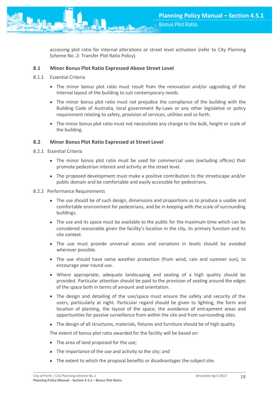accessing plot ratio for internal alterations or street level activation (refer to City Planning Scheme No. 2: Transfer Plot Ratio Policy).

#### **8.1 Minor Bonus Plot Ratio Expressed Above Street Level**

- 8.1.1 Essential Criteria
	- The minor bonus plot ratio must result from the renovation and/or upgrading of the internal layout of the building to suit contemporary needs.
	- The minor bonus plot ratio must not prejudice the compliance of the building with the Building Code of Australia, local government By-Laws or any other legislative or policy requirement relating to safety, provision of services, utilities and so forth.
	- The minor bonus plot ratio must not necessitate any change to the bulk, height or scale of the building.

#### **8.2 Minor Bonus Plot Ratio Expressed at Street Level**

- 8.2.1 Essential Criteria
	- The minor bonus plot ratio must be used for commercial uses (excluding offices) that promote pedestrian interest and activity at the street level.
	- The proposed development must make a positive contribution to the streetscape and/or public domain and be comfortable and easily accessible for pedestrians.
- 8.2.2 Performance Requirements
	- The use should be of such design, dimensions and proportions as to produce a usable and comfortable environment for pedestrians, and be in keeping with the scale of surrounding buildings.
	- The use and its space must be available to the public for the maximum time which can be considered reasonable given the facility's location in the city, its primary function and its site context.
	- The use must provide universal access and variations in levels should be avoided wherever possible.
	- The use should have some weather protection (from wind, rain and summer sun), to encourage year-round use.
	- Where appropriate, adequate landscaping and seating of a high quality should be provided. Particular attention should be paid to the provision of seating around the edges of the space both in terms of amount and orientation.
	- The design and detailing of the use/space must ensure the safety and security of the users, particularly at night. Particular regard should be given to lighting, the form and location of planting, the layout of the space, the avoidance of entrapment areas and opportunities for passive surveillance from within the site and from surrounding sites.
	- The design of all structures, materials, fixtures and furniture should be of high quality.

The extent of bonus plot ratio awarded for the facility will be based on:

- The area of land proposed for the use;
- The importance of the use and activity to the city; and
- The extent to which the proposal benefits or disadvantages the subject site.